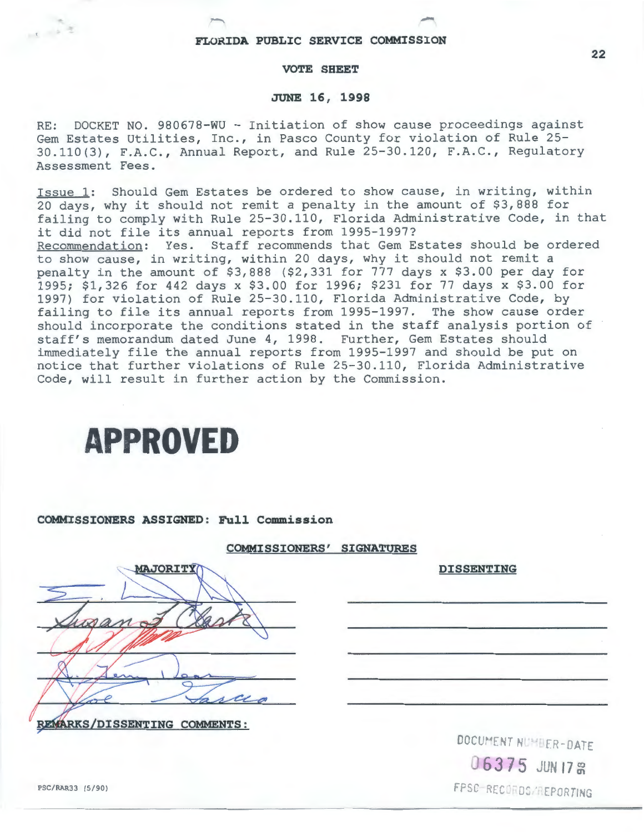### **VOTE SHEET**

#### **JUNE 16, 1998**

RE: DOCKET NO. 980678-WU - Initiation of show cause proceedings against Gem Estates Utilities, Inc., in Pasco County for violation of Rule 25- 30.110(3), F.A.C., Annual Report, and Rule 25-30.120, F.A.C., Regulatory Assessment Fees.

Issue 1: Should Gem Estates be ordered to show cause, in writing, within 20 days, why it should not remit a penalty in the amount of \$3,888 for failing to comply with Rule 25-30.110, Florida Administrative Code, in that it did not file its annual reports from 1995-1997? Recommendation: Yes. Staff recommends that Gem Estates should be ordered to show cause, in writing, within 20 days, why it should not remit a penalty in the amount of \$3,888 (\$2,331 for 777 days x \$3.00 per day for 1995; \$1,326 for 442 days x \$3.00 for 1996; \$231 for 77 days x \$3.00 for 1997) for violation of Rule 25-30.110, Florida Administrative Code, by failing to file its annual reports from 1995-1997. The show cause order should incorporate the conditions stated in the staff analysis portion of staff's memorandum dated June 4, 1998. Further, Gem Estates should immediately file the annual reports from 1995-1997 and should be put on notice that further violations of Rule 25-30.110, Florida Administrative Code, will result in further action by the Commission.

# **APPROVED**

#### **COMMISSIONERS ASSIGNED: Full Commission**

#### **COMMISSIONERS' SIGNATURES**

| <b>MAJORITY</b>          |
|--------------------------|
|                          |
| wano                     |
|                          |
|                          |
| cca                      |
| RKS/DISSENTING COMMENTS: |

DOCUMENT NUMBER-DATE 06375 JUN 17 **8** FPSC-RECORDS/REPORTING

**DISSENTING** 

**22** 

 $1 - 52$